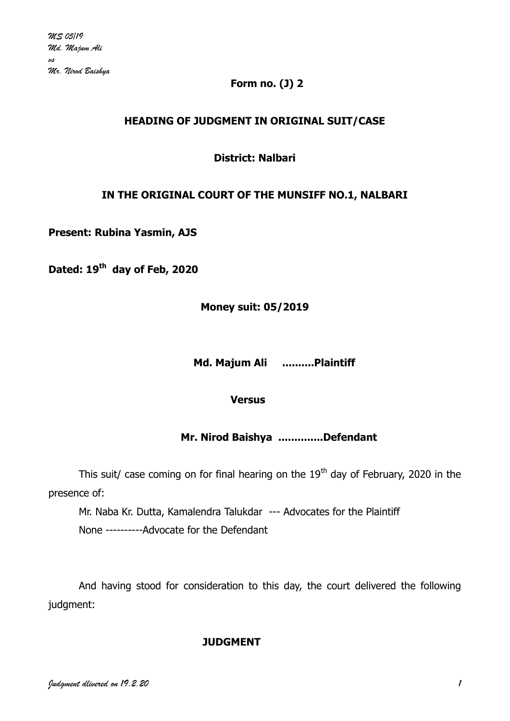### **Form no. (J) 2**

# **HEADING OF JUDGMENT IN ORIGINAL SUIT/CASE**

**District: Nalbari**

### **IN THE ORIGINAL COURT OF THE MUNSIFF NO.1, NALBARI**

**Present: Rubina Yasmin, AJS**

**Dated: 19th day of Feb, 2020**

**Money suit: 05/2019**

 **Md. Majum Ali ..........Plaintiff**

**Versus**

 **Mr. Nirod Baishya ..............Defendant**

This suit/ case coming on for final hearing on the  $19<sup>th</sup>$  day of February, 2020 in the presence of:

Mr. Naba Kr. Dutta, Kamalendra Talukdar --- Advocates for the Plaintiff None ----------Advocate for the Defendant

And having stood for consideration to this day, the court delivered the following judgment:

#### **JUDGMENT**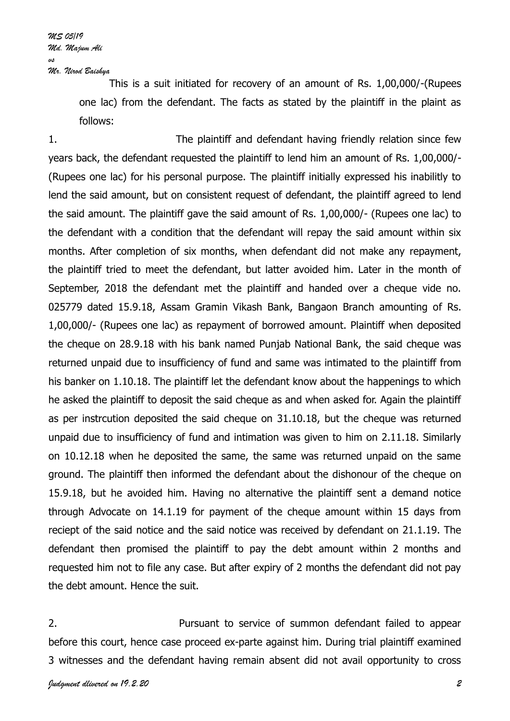*MS 05/19 Md. Majum Ali vs Mr. Nirod Baishya*

> This is a suit initiated for recovery of an amount of Rs. 1,00,000/-(Rupees one lac) from the defendant. The facts as stated by the plaintiff in the plaint as follows:

1. The plaintiff and defendant having friendly relation since few years back, the defendant requested the plaintiff to lend him an amount of Rs. 1,00,000/- (Rupees one lac) for his personal purpose. The plaintiff initially expressed his inabilitly to lend the said amount, but on consistent request of defendant, the plaintiff agreed to lend the said amount. The plaintiff gave the said amount of Rs. 1,00,000/- (Rupees one lac) to the defendant with a condition that the defendant will repay the said amount within six months. After completion of six months, when defendant did not make any repayment, the plaintiff tried to meet the defendant, but latter avoided him. Later in the month of September, 2018 the defendant met the plaintiff and handed over a cheque vide no. 025779 dated 15.9.18, Assam Gramin Vikash Bank, Bangaon Branch amounting of Rs. 1,00,000/- (Rupees one lac) as repayment of borrowed amount. Plaintiff when deposited the cheque on 28.9.18 with his bank named Punjab National Bank, the said cheque was returned unpaid due to insufficiency of fund and same was intimated to the plaintiff from his banker on 1.10.18. The plaintiff let the defendant know about the happenings to which he asked the plaintiff to deposit the said cheque as and when asked for. Again the plaintiff as per instrcution deposited the said cheque on 31.10.18, but the cheque was returned unpaid due to insufficiency of fund and intimation was given to him on 2.11.18. Similarly on 10.12.18 when he deposited the same, the same was returned unpaid on the same ground. The plaintiff then informed the defendant about the dishonour of the cheque on 15.9.18, but he avoided him. Having no alternative the plaintiff sent a demand notice through Advocate on 14.1.19 for payment of the cheque amount within 15 days from reciept of the said notice and the said notice was received by defendant on 21.1.19. The defendant then promised the plaintiff to pay the debt amount within 2 months and requested him not to file any case. But after expiry of 2 months the defendant did not pay the debt amount. Hence the suit.

2. Pursuant to service of summon defendant failed to appear before this court, hence case proceed ex-parte against him. During trial plaintiff examined 3 witnesses and the defendant having remain absent did not avail opportunity to cross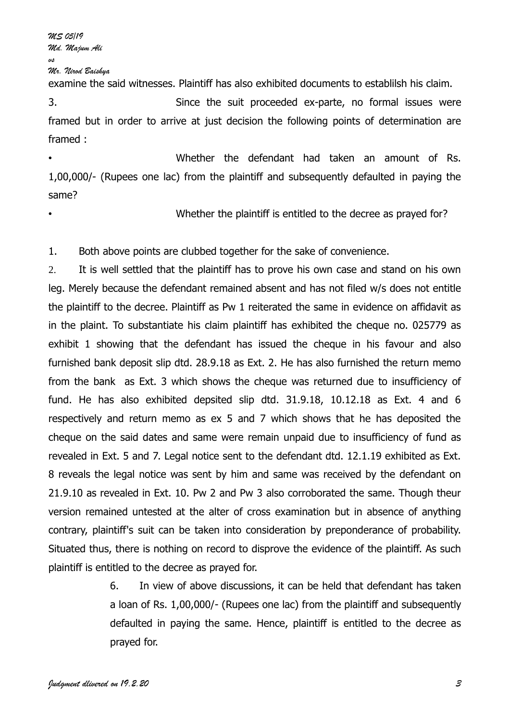*MS 05/19 Md. Majum Ali vs*

*Mr. Nirod Baishya*

examine the said witnesses. Plaintiff has also exhibited documents to establilsh his claim.

3. Since the suit proceeded ex-parte, no formal issues were framed but in order to arrive at just decision the following points of determination are framed :

• Whether the defendant had taken an amount of Rs. 1,00,000/- (Rupees one lac) from the plaintiff and subsequently defaulted in paying the same?

Whether the plaintiff is entitled to the decree as prayed for?

1. Both above points are clubbed together for the sake of convenience.

2. It is well settled that the plaintiff has to prove his own case and stand on his own leg. Merely because the defendant remained absent and has not filed w/s does not entitle the plaintiff to the decree. Plaintiff as Pw 1 reiterated the same in evidence on affidavit as in the plaint. To substantiate his claim plaintiff has exhibited the cheque no. 025779 as exhibit 1 showing that the defendant has issued the cheque in his favour and also furnished bank deposit slip dtd. 28.9.18 as Ext. 2. He has also furnished the return memo from the bank as Ext. 3 which shows the cheque was returned due to insufficiency of fund. He has also exhibited depsited slip dtd. 31.9.18, 10.12.18 as Ext. 4 and 6 respectively and return memo as ex 5 and 7 which shows that he has deposited the cheque on the said dates and same were remain unpaid due to insufficiency of fund as revealed in Ext. 5 and 7. Legal notice sent to the defendant dtd. 12.1.19 exhibited as Ext. 8 reveals the legal notice was sent by him and same was received by the defendant on 21.9.10 as revealed in Ext. 10. Pw 2 and Pw 3 also corroborated the same. Though theur version remained untested at the alter of cross examination but in absence of anything contrary, plaintiff's suit can be taken into consideration by preponderance of probability. Situated thus, there is nothing on record to disprove the evidence of the plaintiff. As such plaintiff is entitled to the decree as prayed for.

> 6. In view of above discussions, it can be held that defendant has taken a loan of Rs. 1,00,000/- (Rupees one lac) from the plaintiff and subsequently defaulted in paying the same. Hence, plaintiff is entitled to the decree as prayed for.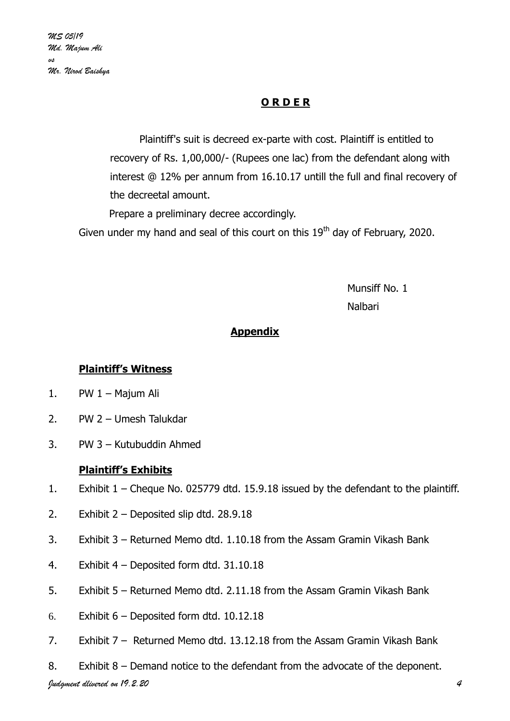# **O R D E R**

Plaintiff's suit is decreed ex-parte with cost. Plaintiff is entitled to recovery of Rs. 1,00,000/- (Rupees one lac) from the defendant along with interest @ 12% per annum from 16.10.17 untill the full and final recovery of the decreetal amount.

Prepare a preliminary decree accordingly.

Given under my hand and seal of this court on this  $19<sup>th</sup>$  day of February, 2020.

 Munsiff No. 1 na barang sa taun 1988. Bagi sa taun 1988 da sa taun 1988 da sa taun 1988. Bagi sa taun 1988 da sa taun 1988 d

# **Appendix**

# **Plaintiff's Witness**

- 1. PW 1 Majum Ali
- 2. PW 2 Umesh Talukdar
- 3. PW 3 Kutubuddin Ahmed

# **Plaintiff's Exhibits**

- 1. Exhibit 1 Cheque No. 025779 dtd. 15.9.18 issued by the defendant to the plaintiff.
- 2. Exhibit 2 Deposited slip dtd. 28.9.18
- 3. Exhibit 3 Returned Memo dtd. 1.10.18 from the Assam Gramin Vikash Bank
- 4. Exhibit 4 Deposited form dtd. 31.10.18
- 5. Exhibit 5 Returned Memo dtd. 2.11.18 from the Assam Gramin Vikash Bank
- 6. Exhibit  $6$  Deposited form dtd. 10.12.18
- 7. Exhibit 7 Returned Memo dtd. 13.12.18 from the Assam Gramin Vikash Bank
- 8. Exhibit 8 Demand notice to the defendant from the advocate of the deponent.